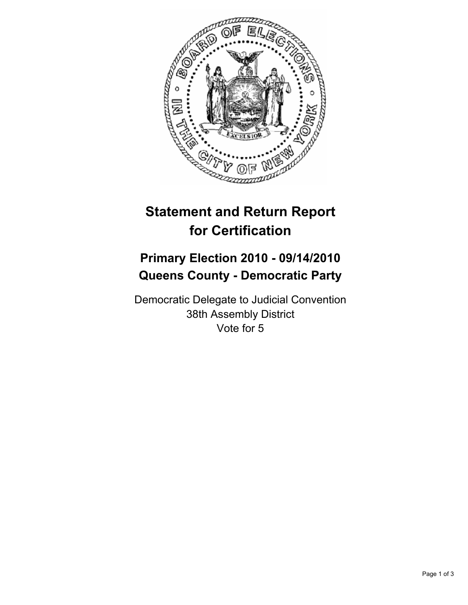

## **Statement and Return Report for Certification**

## **Primary Election 2010 - 09/14/2010 Queens County - Democratic Party**

Democratic Delegate to Judicial Convention 38th Assembly District Vote for 5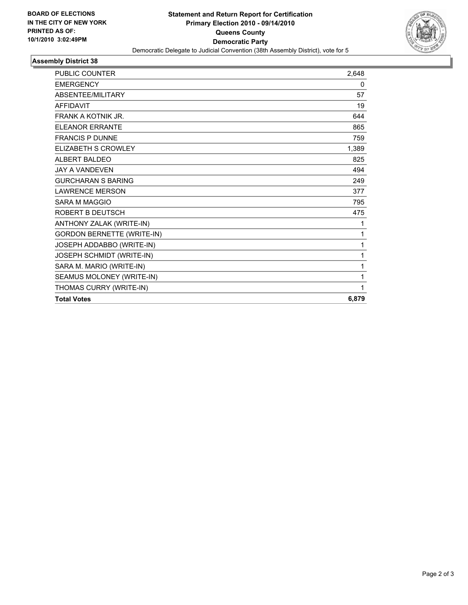

## **Assembly District 38**

| <b>PUBLIC COUNTER</b>             | 2,648 |
|-----------------------------------|-------|
| <b>EMERGENCY</b>                  | 0     |
| <b>ABSENTEE/MILITARY</b>          | 57    |
| <b>AFFIDAVIT</b>                  | 19    |
| <b>FRANK A KOTNIK JR.</b>         | 644   |
| <b>ELEANOR ERRANTE</b>            | 865   |
| <b>FRANCIS P DUNNE</b>            | 759   |
| ELIZABETH S CROWLEY               | 1,389 |
| ALBERT BALDEO                     | 825   |
| <b>JAY A VANDEVEN</b>             | 494   |
| <b>GURCHARAN S BARING</b>         | 249   |
| <b>LAWRENCE MERSON</b>            | 377   |
| <b>SARA M MAGGIO</b>              | 795   |
| ROBERT B DEUTSCH                  | 475   |
| ANTHONY ZALAK (WRITE-IN)          | 1     |
| <b>GORDON BERNETTE (WRITE-IN)</b> | 1     |
| JOSEPH ADDABBO (WRITE-IN)         | 1     |
| JOSEPH SCHMIDT (WRITE-IN)         | 1     |
| SARA M. MARIO (WRITE-IN)          | 1     |
| SEAMUS MOLONEY (WRITE-IN)         | 1     |
| THOMAS CURRY (WRITE-IN)           | 1     |
| <b>Total Votes</b>                | 6,879 |